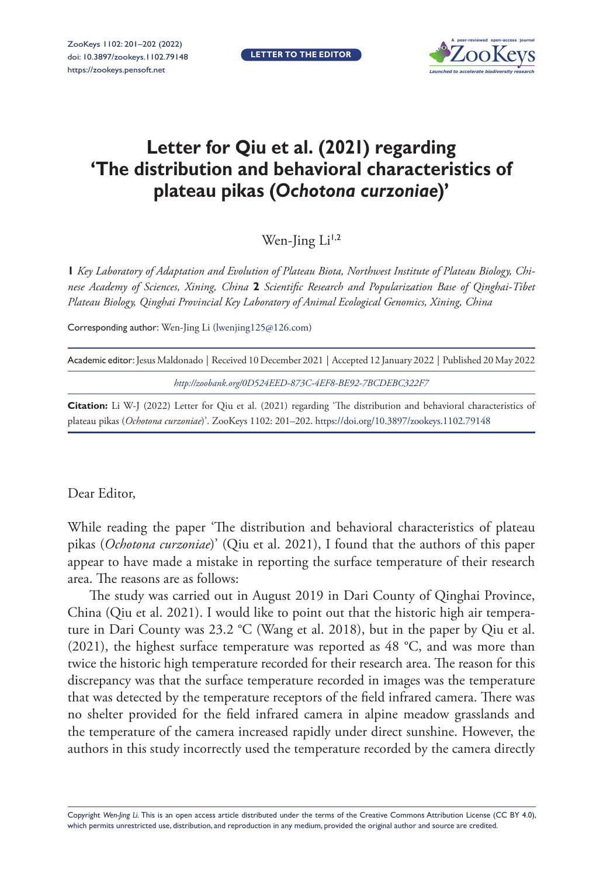**LETTER TO THE EDITOR**



## **Letter for Qiu et al. (2021) regarding 'The distribution and behavioral characteristics of plateau pikas (***Ochotona curzoniae***)'**

Wen-Jing Li<sup>1,2</sup>

**1** *Key Laboratory of Adaptation and Evolution of Plateau Biota, Northwest Institute of Plateau Biology, Chinese Academy of Sciences, Xining, China* **2** *Scientific Research and Popularization Base of Qinghai-Tibet Plateau Biology, Qinghai Provincial Key Laboratory of Animal Ecological Genomics, Xining, China*

Corresponding author: Wen-Jing Li ([lwenjing125@126.com\)](mailto:lwenjing125@126.com)

| Academic editor: Jesus Maldonado   Received 10 December 2021   Accepted 12 January 2022   Published 20 May 2022 |  |
|-----------------------------------------------------------------------------------------------------------------|--|
| http://zoobank.org/0D524EED-873C-4EF8-BE92-7BCDEBC322F7                                                         |  |

**Citation:** Li W-J (2022) Letter for Qiu et al. (2021) regarding 'The distribution and behavioral characteristics of plateau pikas (*Ochotona curzoniae*)'. ZooKeys 1102: 201–202. <https://doi.org/10.3897/zookeys.1102.79148>

## Dear Editor,

While reading the paper 'The distribution and behavioral characteristics of plateau pikas (*Ochotona curzoniae*)' (Qiu et al. 2021), I found that the authors of this paper appear to have made a mistake in reporting the surface temperature of their research area. The reasons are as follows:

The study was carried out in August 2019 in Dari County of Qinghai Province, China (Qiu et al. 2021). I would like to point out that the historic high air temperature in Dari County was 23.2 °C (Wang et al. 2018), but in the paper by Qiu et al. (2021), the highest surface temperature was reported as 48 °C, and was more than twice the historic high temperature recorded for their research area. The reason for this discrepancy was that the surface temperature recorded in images was the temperature that was detected by the temperature receptors of the field infrared camera. There was no shelter provided for the field infrared camera in alpine meadow grasslands and the temperature of the camera increased rapidly under direct sunshine. However, the authors in this study incorrectly used the temperature recorded by the camera directly

Copyright *Wen-Jing Li.* This is an open access article distributed under the terms of the [Creative Commons Attribution License \(CC BY 4.0\),](http://creativecommons.org/licenses/by/4.0/) which permits unrestricted use, distribution, and reproduction in any medium, provided the original author and source are credited.